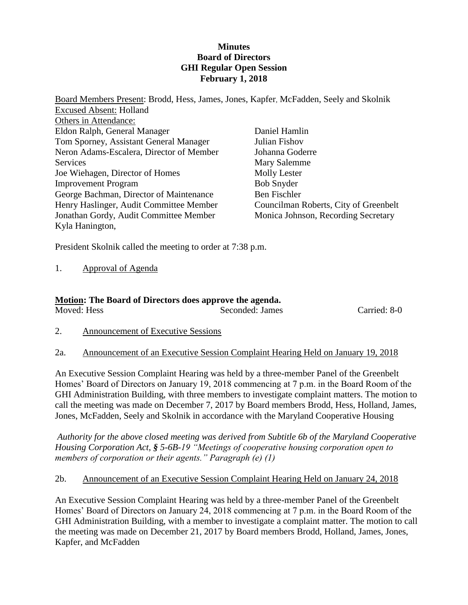### **Minutes Board of Directors GHI Regular Open Session February 1, 2018**

Board Members Present: Brodd, Hess, James, Jones, Kapfer*,* McFadden, Seely and Skolnik Excused Absent: Holland Others in Attendance: Eldon Ralph, General Manager Tom Sporney, Assistant General Manager Neron Adams-Escalera, Director of Member **Services** Joe Wiehagen, Director of Homes Improvement Program George Bachman, Director of Maintenance Henry Haslinger, Audit Committee Member Jonathan Gordy, Audit Committee Member Kyla Hanington, Daniel Hamlin Julian Fishov Johanna Goderre Mary Salemme Molly Lester Bob Snyder Ben Fischler Councilman Roberts, City of Greenbelt Monica Johnson, Recording Secretary

President Skolnik called the meeting to order at 7:38 p.m.

1. Approval of Agenda

#### **Motion: The Board of Directors does approve the agenda.** Moved: Hess Seconded: James Carried: 8-0

- 2. Announcement of Executive Sessions
- 2a. Announcement of an Executive Session Complaint Hearing Held on January 19, 2018

An Executive Session Complaint Hearing was held by a three-member Panel of the Greenbelt Homes' Board of Directors on January 19, 2018 commencing at 7 p.m. in the Board Room of the GHI Administration Building, with three members to investigate complaint matters. The motion to call the meeting was made on December 7, 2017 by Board members Brodd, Hess, Holland, James, Jones, McFadden, Seely and Skolnik in accordance with the Maryland Cooperative Housing

*Authority for the above closed meeting was derived from Subtitle 6b of the Maryland Cooperative Housing Corporation Act, § 5-6B-19 "Meetings of cooperative housing corporation open to members of corporation or their agents." Paragraph (e) (1)*

### 2b. Announcement of an Executive Session Complaint Hearing Held on January 24, 2018

An Executive Session Complaint Hearing was held by a three-member Panel of the Greenbelt Homes' Board of Directors on January 24, 2018 commencing at 7 p.m. in the Board Room of the GHI Administration Building, with a member to investigate a complaint matter. The motion to call the meeting was made on December 21, 2017 by Board members Brodd, Holland, James, Jones, Kapfer, and McFadden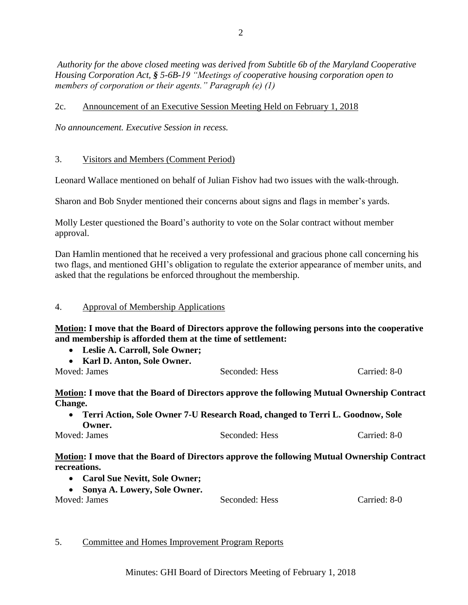*Authority for the above closed meeting was derived from Subtitle 6b of the Maryland Cooperative Housing Corporation Act, § 5-6B-19 "Meetings of cooperative housing corporation open to members of corporation or their agents." Paragraph (e) (1)*

# 2c. Announcement of an Executive Session Meeting Held on February 1, 2018

*No announcement. Executive Session in recess.*

# 3. Visitors and Members (Comment Period)

Leonard Wallace mentioned on behalf of Julian Fishov had two issues with the walk-through.

Sharon and Bob Snyder mentioned their concerns about signs and flags in member's yards.

Molly Lester questioned the Board's authority to vote on the Solar contract without member approval.

Dan Hamlin mentioned that he received a very professional and gracious phone call concerning his two flags, and mentioned GHI's obligation to regulate the exterior appearance of member units, and asked that the regulations be enforced throughout the membership.

# 4. Approval of Membership Applications

**Motion: I move that the Board of Directors approve the following persons into the cooperative and membership is afforded them at the time of settlement:**

- **Leslie A. Carroll, Sole Owner;**
- **Karl D. Anton, Sole Owner.**

Moved: James Seconded: Hess Carried: 8-0

**Motion: I move that the Board of Directors approve the following Mutual Ownership Contract Change.**

 **Terri Action, Sole Owner 7-U Research Road, changed to Terri L. Goodnow, Sole Owner.** Moved: James Seconded: Hess Carried: 8-0

**Motion: I move that the Board of Directors approve the following Mutual Ownership Contract recreations.**

- **Carol Sue Nevitt, Sole Owner;**
- **Sonya A. Lowery, Sole Owner.**

Moved: James Seconded: Hess Carried: 8-0

# 5. Committee and Homes Improvement Program Reports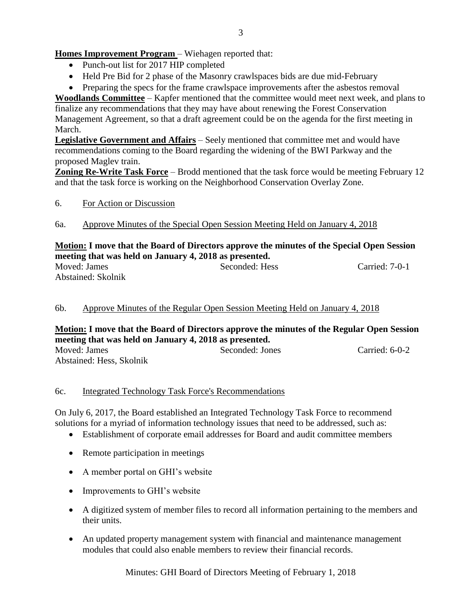# **Homes Improvement Program** – Wiehagen reported that:

- Punch-out list for 2017 HIP completed
- Held Pre Bid for 2 phase of the Masonry crawlspaces bids are due mid-February

• Preparing the specs for the frame crawlspace improvements after the asbestos removal

**Woodlands Committee** – Kapfer mentioned that the committee would meet next week, and plans to finalize any recommendations that they may have about renewing the Forest Conservation Management Agreement, so that a draft agreement could be on the agenda for the first meeting in March.

**Legislative Government and Affairs** – Seely mentioned that committee met and would have recommendations coming to the Board regarding the widening of the BWI Parkway and the proposed Maglev train.

**Zoning Re-Write Task Force** – Brodd mentioned that the task force would be meeting February 12 and that the task force is working on the Neighborhood Conservation Overlay Zone.

### 6. For Action or Discussion

6a. Approve Minutes of the Special Open Session Meeting Held on January 4, 2018

# **Motion: I move that the Board of Directors approve the minutes of the Special Open Session meeting that was held on January 4, 2018 as presented.**

| Moved: James       | Seconded: Hess | Carried: 7-0-1 |
|--------------------|----------------|----------------|
| Abstained: Skolnik |                |                |

# 6b. Approve Minutes of the Regular Open Session Meeting Held on January 4, 2018

#### **Motion: I move that the Board of Directors approve the minutes of the Regular Open Session meeting that was held on January 4, 2018 as presented.** Moved: James Seconded: Jones Carried: 6-0-2

Abstained: Hess, Skolnik

### 6c. Integrated Technology Task Force's Recommendations

On July 6, 2017, the Board established an Integrated Technology Task Force to recommend solutions for a myriad of information technology issues that need to be addressed, such as:

- Establishment of corporate email addresses for Board and audit committee members
- Remote participation in meetings
- A member portal on GHI's website
- Improvements to GHI's website
- A digitized system of member files to record all information pertaining to the members and their units.
- An updated property management system with financial and maintenance management modules that could also enable members to review their financial records.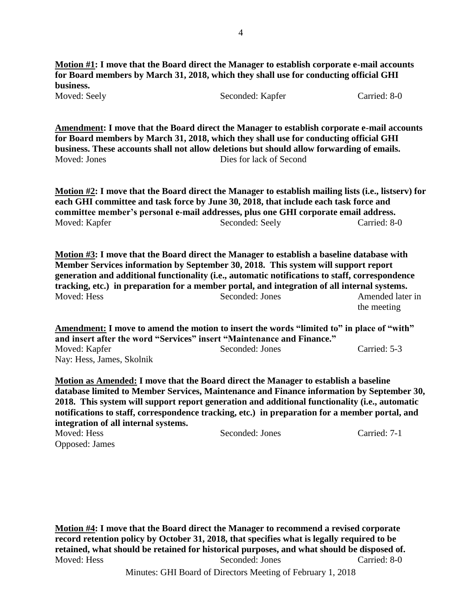**Motion #1: I move that the Board direct the Manager to establish corporate e-mail accounts for Board members by March 31, 2018, which they shall use for conducting official GHI business.** Moved: Seely Seconded: Kapfer Carried: 8-0

**Amendment: I move that the Board direct the Manager to establish corporate e-mail accounts for Board members by March 31, 2018, which they shall use for conducting official GHI business. These accounts shall not allow deletions but should allow forwarding of emails.** Moved: Jones Dies for lack of Second

**Motion #2: I move that the Board direct the Manager to establish mailing lists (i.e., listserv) for each GHI committee and task force by June 30, 2018, that include each task force and committee member's personal e-mail addresses, plus one GHI corporate email address.** Moved: Kapfer Seconded: Seely Carried: 8-0

**Motion #3: I move that the Board direct the Manager to establish a baseline database with Member Services information by September 30, 2018. This system will support report generation and additional functionality (i.e., automatic notifications to staff, correspondence tracking, etc.) in preparation for a member portal, and integration of all internal systems.** Moved: Hess Seconded: Jones Amended later in the meeting

**Amendment: I move to amend the motion to insert the words "limited to" in place of "with" and insert after the word "Services" insert "Maintenance and Finance."** Moved: Kapfer Seconded: Jones Carried: 5-3 Nay: Hess, James, Skolnik

**Motion as Amended: I move that the Board direct the Manager to establish a baseline database limited to Member Services, Maintenance and Finance information by September 30, 2018. This system will support report generation and additional functionality (i.e., automatic notifications to staff, correspondence tracking, etc.) in preparation for a member portal, and integration of all internal systems.**

| Moved: Hess    | Seconded: Jones | Carried: 7-1 |
|----------------|-----------------|--------------|
| Opposed: James |                 |              |

**Motion #4: I move that the Board direct the Manager to recommend a revised corporate record retention policy by October 31, 2018, that specifies what is legally required to be retained, what should be retained for historical purposes, and what should be disposed of.** Moved: Hess Seconded: Jones Carried: 8-0

Minutes: GHI Board of Directors Meeting of February 1, 2018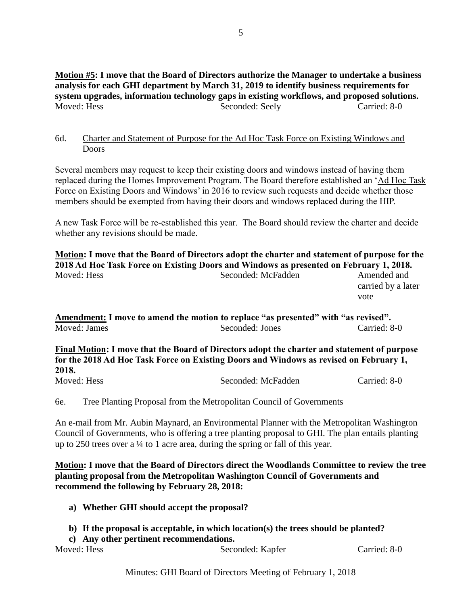**Motion #5: I move that the Board of Directors authorize the Manager to undertake a business analysis for each GHI department by March 31, 2019 to identify business requirements for system upgrades, information technology gaps in existing workflows, and proposed solutions.**<br>Moved: Hess **Seconded: Seely** Carried: 8-0 Seconded: Seely Carried: 8-0

# 6d. Charter and Statement of Purpose for the Ad Hoc Task Force on Existing Windows and Doors

Several members may request to keep their existing doors and windows instead of having them replaced during the Homes Improvement Program. The Board therefore established an 'Ad Hoc Task Force on Existing Doors and Windows' in 2016 to review such requests and decide whether those members should be exempted from having their doors and windows replaced during the HIP.

A new Task Force will be re-established this year. The Board should review the charter and decide whether any revisions should be made.

**Motion: I move that the Board of Directors adopt the charter and statement of purpose for the 2018 Ad Hoc Task Force on Existing Doors and Windows as presented on February 1, 2018.** Moved: Hess Seconded: McFadden Amended and Seconded: McFadden Amended and carried by a later vote **Amendment: I move to amend the motion to replace "as presented" with "as revised".** Moved: James Seconded: Jones Carried: 8-0 **Final Motion: I move that the Board of Directors adopt the charter and statement of purpose** 

**for the 2018 Ad Hoc Task Force on Existing Doors and Windows as revised on February 1, 2018.** Moved: Hess Seconded: McFadden Carried: 8-0

6e. Tree Planting Proposal from the Metropolitan Council of Governments

An e-mail from Mr. Aubin Maynard, an Environmental Planner with the Metropolitan Washington Council of Governments, who is offering a tree planting proposal to GHI. The plan entails planting up to 250 trees over a  $\frac{1}{4}$  to 1 acre area, during the spring or fall of this year.

**Motion: I move that the Board of Directors direct the Woodlands Committee to review the tree planting proposal from the Metropolitan Washington Council of Governments and recommend the following by February 28, 2018:**

- **a) Whether GHI should accept the proposal?**
- **b) If the proposal is acceptable, in which location(s) the trees should be planted?**
- **c) Any other pertinent recommendations.** Moved: Hess Seconded: Kapfer Carried: 8-0

Minutes: GHI Board of Directors Meeting of February 1, 2018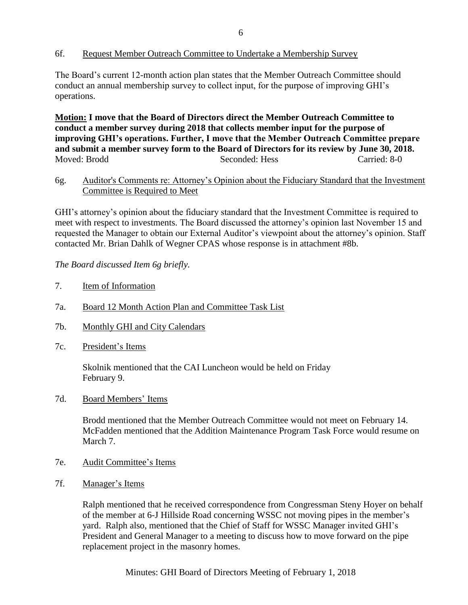### 6f. Request Member Outreach Committee to Undertake a Membership Survey

The Board's current 12-month action plan states that the Member Outreach Committee should conduct an annual membership survey to collect input, for the purpose of improving GHI's operations.

**Motion: I move that the Board of Directors direct the Member Outreach Committee to conduct a member survey during 2018 that collects member input for the purpose of improving GHI's operations. Further, I move that the Member Outreach Committee prepare and submit a member survey form to the Board of Directors for its review by June 30, 2018.** Moved: Brodd Seconded: Hess Carried: 8-0

### 6g. Auditor's Comments re: Attorney's Opinion about the Fiduciary Standard that the Investment Committee is Required to Meet

GHI's attorney's opinion about the fiduciary standard that the Investment Committee is required to meet with respect to investments. The Board discussed the attorney's opinion last November 15 and requested the Manager to obtain our External Auditor's viewpoint about the attorney's opinion. Staff contacted Mr. Brian Dahlk of Wegner CPAS whose response is in attachment #8b.

*The Board discussed Item 6g briefly.* 

- 7. Item of Information
- 7a. Board 12 Month Action Plan and Committee Task List
- 7b. Monthly GHI and City Calendars
- 7c. President's Items

Skolnik mentioned that the CAI Luncheon would be held on Friday February 9.

7d. Board Members' Items

Brodd mentioned that the Member Outreach Committee would not meet on February 14. McFadden mentioned that the Addition Maintenance Program Task Force would resume on March 7.

- 7e. Audit Committee's Items
- 7f. Manager's Items

Ralph mentioned that he received correspondence from Congressman Steny Hoyer on behalf of the member at 6-J Hillside Road concerning WSSC not moving pipes in the member's yard. Ralph also, mentioned that the Chief of Staff for WSSC Manager invited GHI's President and General Manager to a meeting to discuss how to move forward on the pipe replacement project in the masonry homes.